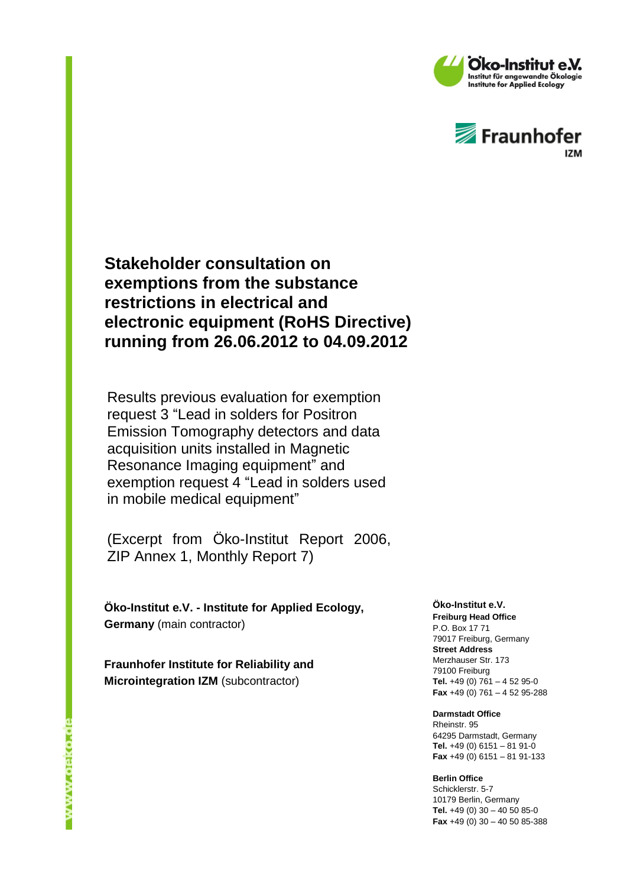



**Stakeholder consultation on exemptions from the substance restrictions in electrical and electronic equipment (RoHS Directive) running from 26.06.2012 to 04.09.2012**

Results previous evaluation for exemption request 3 "Lead in solders for Positron Emission Tomography detectors and data acquisition units installed in Magnetic Resonance Imaging equipment" and exemption request 4 "Lead in solders used in mobile medical equipment"

(Excerpt from Öko-Institut Report 2006, ZIP Annex 1, Monthly Report 7)

**Öko-Institut e.V. - Institute for Applied Ecology, Germany** (main contractor)

**Fraunhofer Institute for Reliability and Microintegration IZM** (subcontractor)

#### **Öko-Institut e.V.**

**Freiburg Head Office** P.O. Box 17 71 79017 Freiburg, Germany **Street Address** Merzhauser Str. 173 79100 Freiburg **Tel.** +49 (0) 761 – 4 52 95-0 **Fax** +49 (0) 761 – 4 52 95-288

#### **Darmstadt Office**

Rheinstr. 95 64295 Darmstadt, Germany **Tel.** +49 (0) 6151 – 81 91-0 **Fax** +49 (0) 6151 – 81 91-133

#### **Berlin Office**

Schicklerstr. 5-7 10179 Berlin, Germany **Tel.** +49 (0) 30 – 40 50 85-0 **Fax** +49 (0) 30 – 40 50 85-388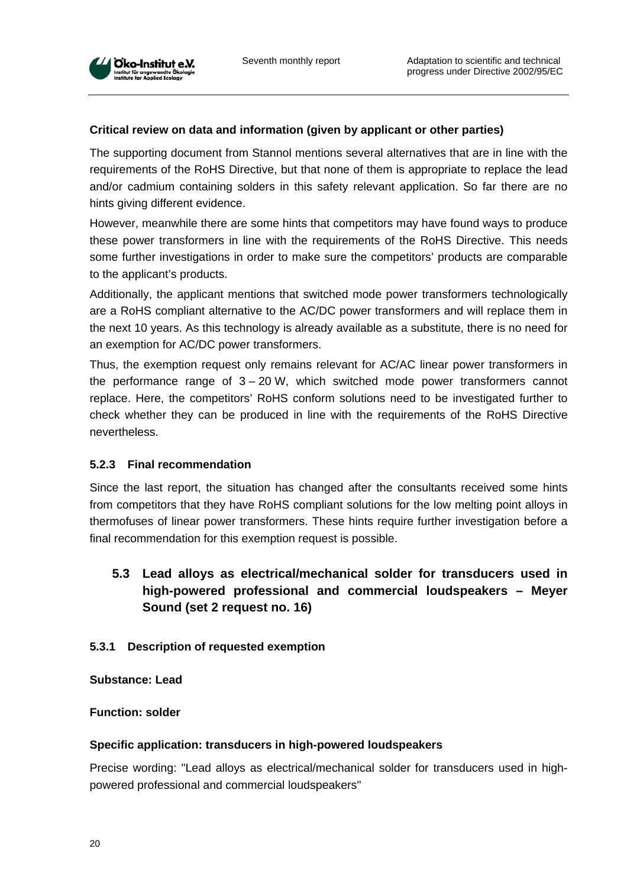

## **Critical review on data and information (given by applicant or other parties)**

The supporting document from Stannol mentions several alternatives that are in line with the requirements of the RoHS Directive, but that none of them is appropriate to replace the lead and/or cadmium containing solders in this safety relevant application. So far there are no hints giving different evidence.

However, meanwhile there are some hints that competitors may have found ways to produce these power transformers in line with the requirements of the RoHS Directive. This needs some further investigations in order to make sure the competitors' products are comparable to the applicant's products.

Additionally, the applicant mentions that switched mode power transformers technologically are a RoHS compliant alternative to the AC/DC power transformers and will replace them in the next 10 years. As this technology is already available as a substitute, there is no need for an exemption for AC/DC power transformers.

Thus, the exemption request only remains relevant for AC/AC linear power transformers in the performance range of  $3 - 20$  W, which switched mode power transformers cannot replace. Here, the competitors' RoHS conform solutions need to be investigated further to check whether they can be produced in line with the requirements of the RoHS Directive nevertheless.

## **5.2.3 Final recommendation**

Since the last report, the situation has changed after the consultants received some hints from competitors that they have RoHS compliant solutions for the low melting point alloys in thermofuses of linear power transformers. These hints require further investigation before a final recommendation for this exemption request is possible.

# **5.3 Lead alloys as electrical/mechanical solder for transducers used in high-powered professional and commercial loudspeakers – Meyer Sound (set 2 request no. 16)**

## **5.3.1 Description of requested exemption**

**Substance: Lead** 

#### **Function: solder**

#### **Specific application: transducers in high-powered loudspeakers**

Precise wording: "Lead alloys as electrical/mechanical solder for transducers used in highpowered professional and commercial loudspeakers"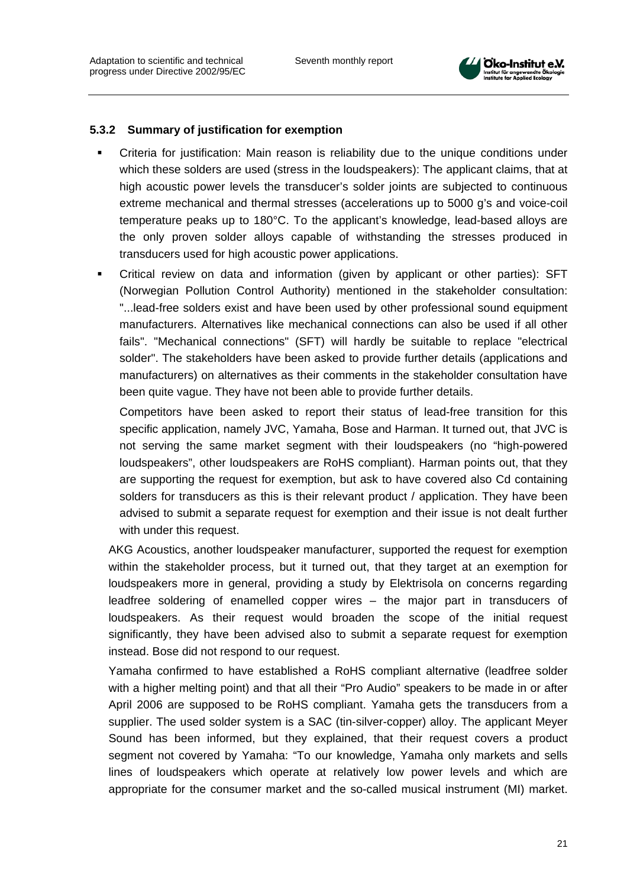

## **5.3.2 Summary of justification for exemption**

- Criteria for justification: Main reason is reliability due to the unique conditions under which these solders are used (stress in the loudspeakers): The applicant claims, that at high acoustic power levels the transducer's solder joints are subjected to continuous extreme mechanical and thermal stresses (accelerations up to 5000 g's and voice-coil temperature peaks up to 180°C. To the applicant's knowledge, lead-based alloys are the only proven solder alloys capable of withstanding the stresses produced in transducers used for high acoustic power applications.
- Critical review on data and information (given by applicant or other parties): SFT (Norwegian Pollution Control Authority) mentioned in the stakeholder consultation: "...lead-free solders exist and have been used by other professional sound equipment manufacturers. Alternatives like mechanical connections can also be used if all other fails". "Mechanical connections" (SFT) will hardly be suitable to replace "electrical solder". The stakeholders have been asked to provide further details (applications and manufacturers) on alternatives as their comments in the stakeholder consultation have been quite vague. They have not been able to provide further details.

Competitors have been asked to report their status of lead-free transition for this specific application, namely JVC, Yamaha, Bose and Harman. It turned out, that JVC is not serving the same market segment with their loudspeakers (no "high-powered loudspeakers", other loudspeakers are RoHS compliant). Harman points out, that they are supporting the request for exemption, but ask to have covered also Cd containing solders for transducers as this is their relevant product / application. They have been advised to submit a separate request for exemption and their issue is not dealt further with under this request.

AKG Acoustics, another loudspeaker manufacturer, supported the request for exemption within the stakeholder process, but it turned out, that they target at an exemption for loudspeakers more in general, providing a study by Elektrisola on concerns regarding leadfree soldering of enamelled copper wires – the major part in transducers of loudspeakers. As their request would broaden the scope of the initial request significantly, they have been advised also to submit a separate request for exemption instead. Bose did not respond to our request.

Yamaha confirmed to have established a RoHS compliant alternative (leadfree solder with a higher melting point) and that all their "Pro Audio" speakers to be made in or after April 2006 are supposed to be RoHS compliant. Yamaha gets the transducers from a supplier. The used solder system is a SAC (tin-silver-copper) alloy. The applicant Meyer Sound has been informed, but they explained, that their request covers a product segment not covered by Yamaha: "To our knowledge, Yamaha only markets and sells lines of loudspeakers which operate at relatively low power levels and which are appropriate for the consumer market and the so-called musical instrument (MI) market.